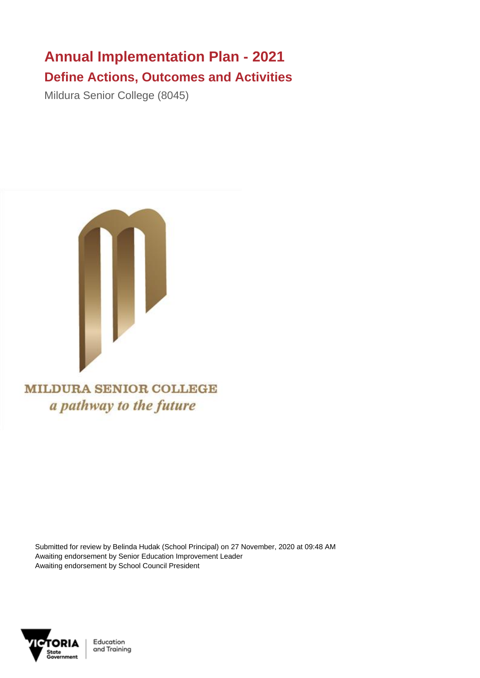## **Annual Implementation Plan - 2021 Define Actions, Outcomes and Activities**

Mildura Senior College (8045)



**MILDURA SENIOR COLLEGE** a pathway to the future

Submitted for review by Belinda Hudak (School Principal) on 27 November, 2020 at 09:48 AM Awaiting endorsement by Senior Education Improvement Leader Awaiting endorsement by School Council President



Education and Training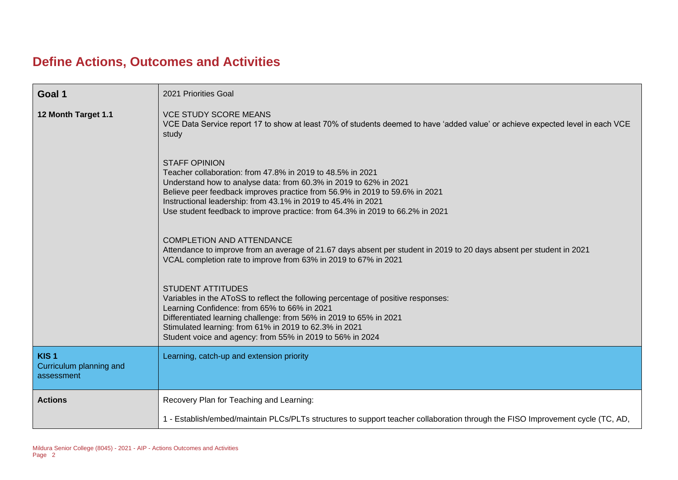## **Define Actions, Outcomes and Activities**

| Goal 1                                                    | 2021 Priorities Goal                                                                                                                                                                                                                                                                                                                                                                     |
|-----------------------------------------------------------|------------------------------------------------------------------------------------------------------------------------------------------------------------------------------------------------------------------------------------------------------------------------------------------------------------------------------------------------------------------------------------------|
| 12 Month Target 1.1                                       | <b>VCE STUDY SCORE MEANS</b><br>VCE Data Service report 17 to show at least 70% of students deemed to have 'added value' or achieve expected level in each VCE<br>study                                                                                                                                                                                                                  |
|                                                           | <b>STAFF OPINION</b><br>Teacher collaboration: from 47.8% in 2019 to 48.5% in 2021<br>Understand how to analyse data: from 60.3% in 2019 to 62% in 2021<br>Believe peer feedback improves practice from 56.9% in 2019 to 59.6% in 2021<br>Instructional leadership: from 43.1% in 2019 to 45.4% in 2021<br>Use student feedback to improve practice: from 64.3% in 2019 to 66.2% in 2021 |
|                                                           | <b>COMPLETION AND ATTENDANCE</b><br>Attendance to improve from an average of 21.67 days absent per student in 2019 to 20 days absent per student in 2021<br>VCAL completion rate to improve from 63% in 2019 to 67% in 2021                                                                                                                                                              |
|                                                           | <b>STUDENT ATTITUDES</b><br>Variables in the AToSS to reflect the following percentage of positive responses:<br>Learning Confidence: from 65% to 66% in 2021<br>Differentiated learning challenge: from 56% in 2019 to 65% in 2021<br>Stimulated learning: from 61% in 2019 to 62.3% in 2021<br>Student voice and agency: from 55% in 2019 to 56% in 2024                               |
| KIS <sub>1</sub><br>Curriculum planning and<br>assessment | Learning, catch-up and extension priority                                                                                                                                                                                                                                                                                                                                                |
| <b>Actions</b>                                            | Recovery Plan for Teaching and Learning:                                                                                                                                                                                                                                                                                                                                                 |
|                                                           | 1 - Establish/embed/maintain PLCs/PLTs structures to support teacher collaboration through the FISO Improvement cycle (TC, AD,                                                                                                                                                                                                                                                           |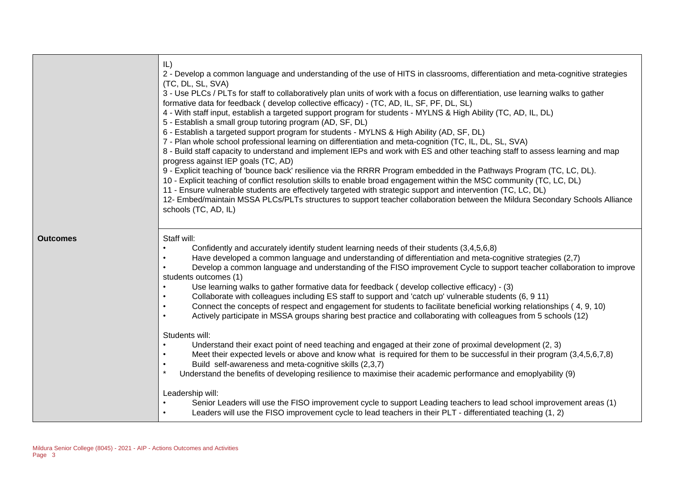|                 | IL)<br>2 - Develop a common language and understanding of the use of HITS in classrooms, differentiation and meta-cognitive strategies<br>(TC, DL, SL, SVA)<br>3 - Use PLCs / PLTs for staff to collaboratively plan units of work with a focus on differentiation, use learning walks to gather<br>formative data for feedback (develop collective efficacy) - (TC, AD, IL, SF, PF, DL, SL)<br>4 - With staff input, establish a targeted support program for students - MYLNS & High Ability (TC, AD, IL, DL)<br>5 - Establish a small group tutoring program (AD, SF, DL)<br>6 - Establish a targeted support program for students - MYLNS & High Ability (AD, SF, DL)<br>7 - Plan whole school professional learning on differentiation and meta-cognition (TC, IL, DL, SL, SVA)<br>8 - Build staff capacity to understand and implement IEPs and work with ES and other teaching staff to assess learning and map<br>progress against IEP goals (TC, AD)<br>9 - Explicit teaching of 'bounce back' resilience via the RRRR Program embedded in the Pathways Program (TC, LC, DL).<br>10 - Explicit teaching of conflict resolution skills to enable broad engagement within the MSC community (TC, LC, DL)<br>11 - Ensure vulnerable students are effectively targeted with strategic support and intervention (TC, LC, DL)<br>12- Embed/maintain MSSA PLCs/PLTs structures to support teacher collaboration between the Mildura Secondary Schools Alliance<br>schools (TC, AD, IL)                               |
|-----------------|------------------------------------------------------------------------------------------------------------------------------------------------------------------------------------------------------------------------------------------------------------------------------------------------------------------------------------------------------------------------------------------------------------------------------------------------------------------------------------------------------------------------------------------------------------------------------------------------------------------------------------------------------------------------------------------------------------------------------------------------------------------------------------------------------------------------------------------------------------------------------------------------------------------------------------------------------------------------------------------------------------------------------------------------------------------------------------------------------------------------------------------------------------------------------------------------------------------------------------------------------------------------------------------------------------------------------------------------------------------------------------------------------------------------------------------------------------------------------------------------------------------------|
| <b>Outcomes</b> | Staff will:<br>Confidently and accurately identify student learning needs of their students (3,4,5,6,8)<br>Have developed a common language and understanding of differentiation and meta-cognitive strategies (2,7)<br>Develop a common language and understanding of the FISO improvement Cycle to support teacher collaboration to improve<br>students outcomes (1)<br>Use learning walks to gather formative data for feedback (develop collective efficacy) - (3)<br>Collaborate with colleagues including ES staff to support and 'catch up' vulnerable students (6, 9 11)<br>Connect the concepts of respect and engagement for students to facilitate beneficial working relationships (4, 9, 10)<br>Actively participate in MSSA groups sharing best practice and collaborating with colleagues from 5 schools (12)<br>Students will:<br>Understand their exact point of need teaching and engaged at their zone of proximal development (2, 3)<br>Meet their expected levels or above and know what is required for them to be successful in their program (3,4,5,6,7,8)<br>Build self-awareness and meta-cognitive skills (2,3,7)<br>Understand the benefits of developing resilience to maximise their academic performance and emoplyability (9)<br>Leadership will:<br>Senior Leaders will use the FISO improvement cycle to support Leading teachers to lead school improvement areas (1)<br>Leaders will use the FISO improvement cycle to lead teachers in their PLT - differentiated teaching (1, 2) |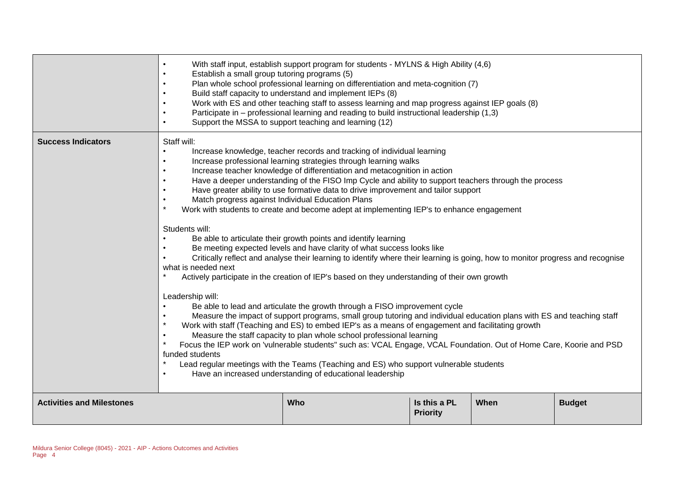|                                  | With staff input, establish support program for students - MYLNS & High Ability (4,6)<br>Establish a small group tutoring programs (5)<br>Plan whole school professional learning on differentiation and meta-cognition (7)<br>Build staff capacity to understand and implement IEPs (8)<br>Work with ES and other teaching staff to assess learning and map progress against IEP goals (8)<br>Participate in - professional learning and reading to build instructional leadership (1,3)<br>Support the MSSA to support teaching and learning (12)<br>$\bullet$                                                                                                                                                                                                                                                                                                                                                                                                                                                                                                                                                                                                                                                                                                                                                                                                                                                                                                                                                                                                                                                                                                                                                                                                  |  |  |  |  |  |  |
|----------------------------------|-------------------------------------------------------------------------------------------------------------------------------------------------------------------------------------------------------------------------------------------------------------------------------------------------------------------------------------------------------------------------------------------------------------------------------------------------------------------------------------------------------------------------------------------------------------------------------------------------------------------------------------------------------------------------------------------------------------------------------------------------------------------------------------------------------------------------------------------------------------------------------------------------------------------------------------------------------------------------------------------------------------------------------------------------------------------------------------------------------------------------------------------------------------------------------------------------------------------------------------------------------------------------------------------------------------------------------------------------------------------------------------------------------------------------------------------------------------------------------------------------------------------------------------------------------------------------------------------------------------------------------------------------------------------------------------------------------------------------------------------------------------------|--|--|--|--|--|--|
| <b>Success Indicators</b>        | Staff will:<br>Increase knowledge, teacher records and tracking of individual learning<br>Increase professional learning strategies through learning walks<br>$\bullet$<br>Increase teacher knowledge of differentiation and metacognition in action<br>$\bullet$<br>Have a deeper understanding of the FISO Imp Cycle and ability to support teachers through the process<br>Have greater ability to use formative data to drive improvement and tailor support<br>$\bullet$<br>Match progress against Individual Education Plans<br>$\bullet$<br>$\star$<br>Work with students to create and become adept at implementing IEP's to enhance engagement<br>Students will:<br>Be able to articulate their growth points and identify learning<br>Be meeting expected levels and have clarity of what success looks like<br>Critically reflect and analyse their learning to identify where their learning is going, how to monitor progress and recognise<br>what is needed next<br>Actively participate in the creation of IEP's based on they understanding of their own growth<br>Leadership will:<br>Be able to lead and articulate the growth through a FISO improvement cycle<br>Measure the impact of support programs, small group tutoring and individual education plans with ES and teaching staff<br>$\star$<br>Work with staff (Teaching and ES) to embed IEP's as a means of engagement and facilitating growth<br>Measure the staff capacity to plan whole school professional learning<br>$\bullet$<br>$\star$<br>Focus the IEP work on 'vulnerable students" such as: VCAL Engage, VCAL Foundation. Out of Home Care, Koorie and PSD<br>funded students<br>Lead regular meetings with the Teams (Teaching and ES) who support vulnerable students |  |  |  |  |  |  |
| <b>Activities and Milestones</b> | <b>Who</b><br>Is this a PL<br>When<br><b>Budget</b><br><b>Priority</b>                                                                                                                                                                                                                                                                                                                                                                                                                                                                                                                                                                                                                                                                                                                                                                                                                                                                                                                                                                                                                                                                                                                                                                                                                                                                                                                                                                                                                                                                                                                                                                                                                                                                                            |  |  |  |  |  |  |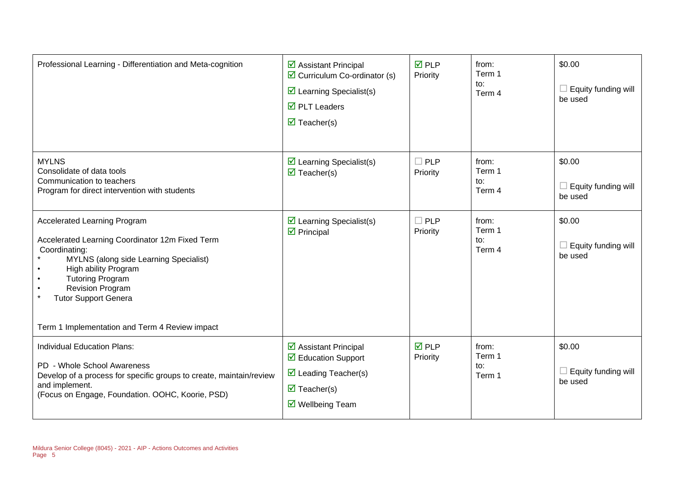| Professional Learning - Differentiation and Meta-cognition                                                                                                                                                                                                                                                       | $\triangleright$ Assistant Principal<br>$\triangleright$ Curriculum Co-ordinator (s)<br>$\triangleright$ Learning Specialist(s)<br>$\overline{\boxtimes}$ PLT Leaders<br>$\overline{\mathbf{M}}$ Teacher(s) | $\overline{M}$ PLP<br>Priority | from:<br>Term 1<br>to:<br>Term 4 | \$0.00<br>$\Box$ Equity funding will<br>be used |
|------------------------------------------------------------------------------------------------------------------------------------------------------------------------------------------------------------------------------------------------------------------------------------------------------------------|-------------------------------------------------------------------------------------------------------------------------------------------------------------------------------------------------------------|--------------------------------|----------------------------------|-------------------------------------------------|
| <b>MYLNS</b><br>Consolidate of data tools<br>Communication to teachers<br>Program for direct intervention with students                                                                                                                                                                                          | $\triangleright$ Learning Specialist(s)<br>$\overline{\mathbf{M}}$ Teacher(s)                                                                                                                               | $\Box$ PLP<br>Priority         | from:<br>Term 1<br>to:<br>Term 4 | \$0.00<br>$\Box$ Equity funding will<br>be used |
| <b>Accelerated Learning Program</b><br>Accelerated Learning Coordinator 12m Fixed Term<br>Coordinating:<br>MYLNS (along side Learning Specialist)<br>High ability Program<br><b>Tutoring Program</b><br><b>Revision Program</b><br><b>Tutor Support Genera</b><br>Term 1 Implementation and Term 4 Review impact | $\triangleright$ Learning Specialist(s)<br>$\boxtimes$ Principal                                                                                                                                            | $\Box$ PLP<br>Priority         | from:<br>Term 1<br>to:<br>Term 4 | \$0.00<br>$\Box$ Equity funding will<br>be used |
| Individual Education Plans:<br>PD - Whole School Awareness<br>Develop of a process for specific groups to create, maintain/review<br>and implement.<br>(Focus on Engage, Foundation. OOHC, Koorie, PSD)                                                                                                          | ☑ Assistant Principal<br>$\triangledown$ Education Support<br>$\triangleright$ Leading Teacher(s)<br>$\triangledown$ Teacher(s)<br>$\triangledown$ Wellbeing Team                                           | $\overline{M}$ PLP<br>Priority | from:<br>Term 1<br>to:<br>Term 1 | \$0.00<br>$\Box$ Equity funding will<br>be used |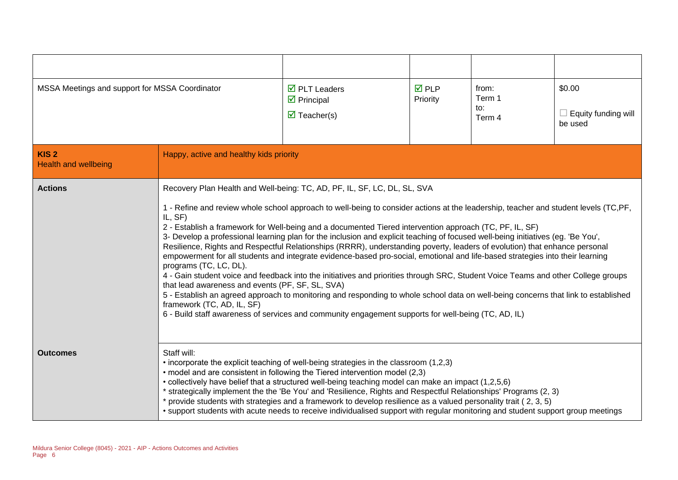| MSSA Meetings and support for MSSA Coordinator  |                                                                                                                                                                                                                                                                                                                                                                                                                                                                                                                                                                                                                                                                                                                                                                                                                                                                                                                                                                                                                                                                                                                                                            | $\overline{\boxtimes}$ PLT Leaders<br>$\boxtimes$ Principal<br>$\overline{\mathbf{M}}$ Teacher(s) | $\overline{M}$ PLP<br>Priority | from:<br>Term 1<br>to:<br>Term 4 | \$0.00<br>$\Box$ Equity funding will<br>be used |
|-------------------------------------------------|------------------------------------------------------------------------------------------------------------------------------------------------------------------------------------------------------------------------------------------------------------------------------------------------------------------------------------------------------------------------------------------------------------------------------------------------------------------------------------------------------------------------------------------------------------------------------------------------------------------------------------------------------------------------------------------------------------------------------------------------------------------------------------------------------------------------------------------------------------------------------------------------------------------------------------------------------------------------------------------------------------------------------------------------------------------------------------------------------------------------------------------------------------|---------------------------------------------------------------------------------------------------|--------------------------------|----------------------------------|-------------------------------------------------|
| KIS <sub>2</sub><br><b>Health and wellbeing</b> | Happy, active and healthy kids priority                                                                                                                                                                                                                                                                                                                                                                                                                                                                                                                                                                                                                                                                                                                                                                                                                                                                                                                                                                                                                                                                                                                    |                                                                                                   |                                |                                  |                                                 |
| <b>Actions</b>                                  |                                                                                                                                                                                                                                                                                                                                                                                                                                                                                                                                                                                                                                                                                                                                                                                                                                                                                                                                                                                                                                                                                                                                                            | Recovery Plan Health and Well-being: TC, AD, PF, IL, SF, LC, DL, SL, SVA                          |                                |                                  |                                                 |
|                                                 | 1 - Refine and review whole school approach to well-being to consider actions at the leadership, teacher and student levels (TC,PF,<br>IL, SF)<br>2 - Establish a framework for Well-being and a documented Tiered intervention approach (TC, PF, IL, SF)<br>3- Develop a professional learning plan for the inclusion and explicit teaching of focused well-being initiatives (eg. 'Be You',<br>Resilience, Rights and Respectful Relationships (RRRR), understanding poverty, leaders of evolution) that enhance personal<br>empowerment for all students and integrate evidence-based pro-social, emotional and life-based strategies into their learning<br>programs (TC, LC, DL).<br>4 - Gain student voice and feedback into the initiatives and priorities through SRC, Student Voice Teams and other College groups<br>that lead awareness and events (PF, SF, SL, SVA)<br>5 - Establish an agreed approach to monitoring and responding to whole school data on well-being concerns that link to established<br>framework (TC, AD, IL, SF)<br>6 - Build staff awareness of services and community engagement supports for well-being (TC, AD, IL) |                                                                                                   |                                |                                  |                                                 |
| <b>Outcomes</b>                                 | Staff will:<br>• incorporate the explicit teaching of well-being strategies in the classroom (1,2,3)<br>• model and are consistent in following the Tiered intervention model (2,3)<br>• collectively have belief that a structured well-being teaching model can make an impact (1,2,5,6)<br>* strategically implement the the 'Be You' and 'Resilience, Rights and Respectful Relationships' Programs (2, 3)<br>* provide students with strategies and a framework to develop resilience as a valued personality trait (2, 3, 5)<br>• support students with acute needs to receive individualised support with regular monitoring and student support group meetings                                                                                                                                                                                                                                                                                                                                                                                                                                                                                     |                                                                                                   |                                |                                  |                                                 |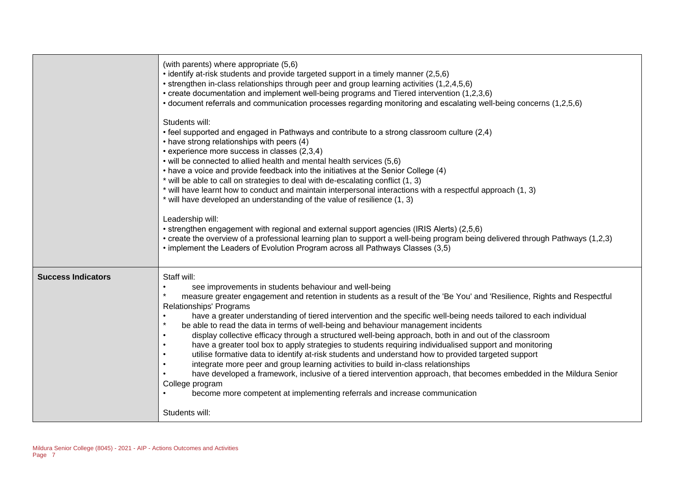|                           | (with parents) where appropriate (5,6)<br>• identify at-risk students and provide targeted support in a timely manner (2,5,6)<br>• strengthen in-class relationships through peer and group learning activities (1,2,4,5,6)<br>• create documentation and implement well-being programs and Tiered intervention (1,2,3,6)<br>• document referrals and communication processes regarding monitoring and escalating well-being concerns (1,2,5,6)<br>Students will:<br>• feel supported and engaged in Pathways and contribute to a strong classroom culture (2,4)<br>• have strong relationships with peers (4)<br>• experience more success in classes (2,3,4)<br>• will be connected to allied health and mental health services (5,6)<br>• have a voice and provide feedback into the initiatives at the Senior College (4)<br>* will be able to call on strategies to deal with de-escalating conflict (1, 3)<br>* will have learnt how to conduct and maintain interpersonal interactions with a respectful approach (1, 3)<br>* will have developed an understanding of the value of resilience (1, 3)<br>Leadership will:<br>• strengthen engagement with regional and external support agencies (IRIS Alerts) (2,5,6)<br>• create the overview of a professional learning plan to support a well-being program being delivered through Pathways (1,2,3)<br>• implement the Leaders of Evolution Program across all Pathways Classes (3,5) |
|---------------------------|--------------------------------------------------------------------------------------------------------------------------------------------------------------------------------------------------------------------------------------------------------------------------------------------------------------------------------------------------------------------------------------------------------------------------------------------------------------------------------------------------------------------------------------------------------------------------------------------------------------------------------------------------------------------------------------------------------------------------------------------------------------------------------------------------------------------------------------------------------------------------------------------------------------------------------------------------------------------------------------------------------------------------------------------------------------------------------------------------------------------------------------------------------------------------------------------------------------------------------------------------------------------------------------------------------------------------------------------------------------------------------------------------------------------------------------------------|
| <b>Success Indicators</b> | Staff will:<br>see improvements in students behaviour and well-being<br>measure greater engagement and retention in students as a result of the 'Be You' and 'Resilience, Rights and Respectful<br><b>Relationships' Programs</b><br>have a greater understanding of tiered intervention and the specific well-being needs tailored to each individual<br>be able to read the data in terms of well-being and behaviour management incidents<br>display collective efficacy through a structured well-being approach, both in and out of the classroom<br>have a greater tool box to apply strategies to students requiring individualised support and monitoring<br>utilise formative data to identify at-risk students and understand how to provided targeted support<br>integrate more peer and group learning activities to build in-class relationships<br>have developed a framework, inclusive of a tiered intervention approach, that becomes embedded in the Mildura Senior<br>College program<br>become more competent at implementing referrals and increase communication<br>Students will:                                                                                                                                                                                                                                                                                                                                         |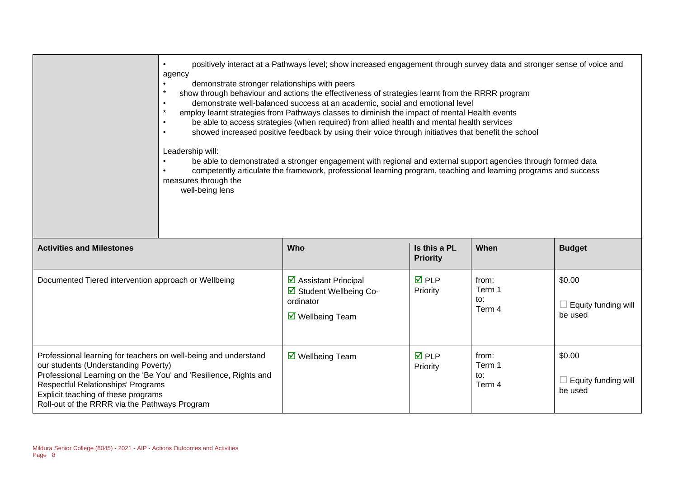|                                                                                                                                                                                                                                                                                                                   | positively interact at a Pathways level; show increased engagement through survey data and stronger sense of voice and<br>agency<br>demonstrate stronger relationships with peers<br>$\star$<br>show through behaviour and actions the effectiveness of strategies learnt from the RRRR program<br>demonstrate well-balanced success at an academic, social and emotional level<br>$\bullet$<br>$\star$<br>employ learnt strategies from Pathways classes to diminish the impact of mental Health events<br>be able to access strategies (when required) from allied health and mental health services<br>showed increased positive feedback by using their voice through initiatives that benefit the school<br>$\bullet$<br>Leadership will:<br>be able to demonstrated a stronger engagement with regional and external support agencies through formed data<br>competently articulate the framework, professional learning program, teaching and learning programs and success<br>measures through the<br>well-being lens |                                                                                                 |                                 |                                  |                                                 |  |
|-------------------------------------------------------------------------------------------------------------------------------------------------------------------------------------------------------------------------------------------------------------------------------------------------------------------|-------------------------------------------------------------------------------------------------------------------------------------------------------------------------------------------------------------------------------------------------------------------------------------------------------------------------------------------------------------------------------------------------------------------------------------------------------------------------------------------------------------------------------------------------------------------------------------------------------------------------------------------------------------------------------------------------------------------------------------------------------------------------------------------------------------------------------------------------------------------------------------------------------------------------------------------------------------------------------------------------------------------------------|-------------------------------------------------------------------------------------------------|---------------------------------|----------------------------------|-------------------------------------------------|--|
| <b>Activities and Milestones</b>                                                                                                                                                                                                                                                                                  |                                                                                                                                                                                                                                                                                                                                                                                                                                                                                                                                                                                                                                                                                                                                                                                                                                                                                                                                                                                                                               | Who                                                                                             | Is this a PL<br><b>Priority</b> | When                             | <b>Budget</b>                                   |  |
| Documented Tiered intervention approach or Wellbeing                                                                                                                                                                                                                                                              |                                                                                                                                                                                                                                                                                                                                                                                                                                                                                                                                                                                                                                                                                                                                                                                                                                                                                                                                                                                                                               | ☑ Assistant Principal<br>☑ Student Wellbeing Co-<br>ordinator<br>$\triangledown$ Wellbeing Team | $\overline{M}$ PLP<br>Priority  | from:<br>Term 1<br>to:<br>Term 4 | \$0.00<br>$\Box$ Equity funding will<br>be used |  |
| Professional learning for teachers on well-being and understand<br>our students (Understanding Poverty)<br>Professional Learning on the 'Be You' and 'Resilience, Rights and<br><b>Respectful Relationships' Programs</b><br>Explicit teaching of these programs<br>Roll-out of the RRRR via the Pathways Program |                                                                                                                                                                                                                                                                                                                                                                                                                                                                                                                                                                                                                                                                                                                                                                                                                                                                                                                                                                                                                               | $\overline{\mathbf{M}}$ Wellbeing Team                                                          | $\overline{M}$ PLP<br>Priority  | from:<br>Term 1<br>to:<br>Term 4 | \$0.00<br>$\Box$ Equity funding will<br>be used |  |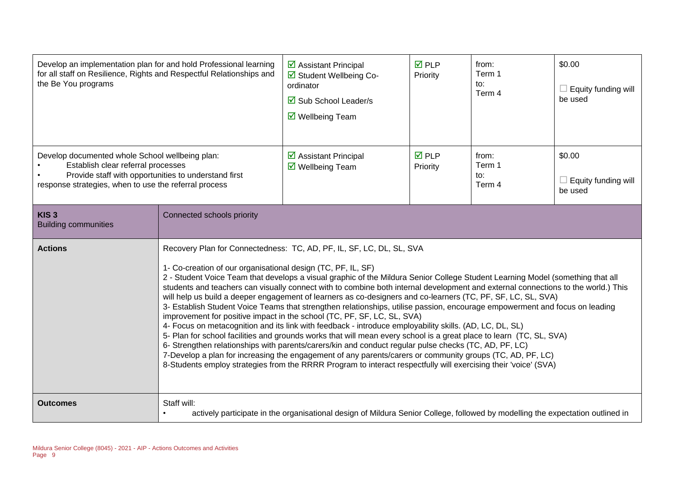| Develop an implementation plan for and hold Professional learning<br>for all staff on Resilience, Rights and Respectful Relationships and<br>the Be You programs                                       |                                                                                                                                                                                                                                                                                                                                                                                                                                                                                                                                                                                                                                                                                                                                                                                                                                                                                                                                                                                                                                                                                                                                                                                                                                                                                                                  | ☑ Assistant Principal<br>Student Wellbeing Co-<br>ordinator<br><b>Ø</b> Sub School Leader/s<br>$\overline{\mathsf{M}}$ Wellbeing Team | $\overline{M}$ PLP<br>Priority | from:<br>Term 1<br>to:<br>Term 4 | \$0.00<br>$\Box$ Equity funding will<br>be used |  |
|--------------------------------------------------------------------------------------------------------------------------------------------------------------------------------------------------------|------------------------------------------------------------------------------------------------------------------------------------------------------------------------------------------------------------------------------------------------------------------------------------------------------------------------------------------------------------------------------------------------------------------------------------------------------------------------------------------------------------------------------------------------------------------------------------------------------------------------------------------------------------------------------------------------------------------------------------------------------------------------------------------------------------------------------------------------------------------------------------------------------------------------------------------------------------------------------------------------------------------------------------------------------------------------------------------------------------------------------------------------------------------------------------------------------------------------------------------------------------------------------------------------------------------|---------------------------------------------------------------------------------------------------------------------------------------|--------------------------------|----------------------------------|-------------------------------------------------|--|
| Develop documented whole School wellbeing plan:<br>Establish clear referral processes<br>Provide staff with opportunities to understand first<br>response strategies, when to use the referral process |                                                                                                                                                                                                                                                                                                                                                                                                                                                                                                                                                                                                                                                                                                                                                                                                                                                                                                                                                                                                                                                                                                                                                                                                                                                                                                                  | $\triangleright$ Assistant Principal<br>☑ Wellbeing Team                                                                              | $\overline{M}$ PLP<br>Priority | from:<br>Term 1<br>to:<br>Term 4 | \$0.00<br>$\Box$ Equity funding will<br>be used |  |
| KIS <sub>3</sub><br><b>Building communities</b>                                                                                                                                                        | Connected schools priority                                                                                                                                                                                                                                                                                                                                                                                                                                                                                                                                                                                                                                                                                                                                                                                                                                                                                                                                                                                                                                                                                                                                                                                                                                                                                       |                                                                                                                                       |                                |                                  |                                                 |  |
| <b>Actions</b>                                                                                                                                                                                         | Recovery Plan for Connectedness: TC, AD, PF, IL, SF, LC, DL, SL, SVA<br>1- Co-creation of our organisational design (TC, PF, IL, SF)<br>2 - Student Voice Team that develops a visual graphic of the Mildura Senior College Student Learning Model (something that all<br>students and teachers can visually connect with to combine both internal development and external connections to the world.) This<br>will help us build a deeper engagement of learners as co-designers and co-learners (TC, PF, SF, LC, SL, SVA)<br>3- Establish Student Voice Teams that strengthen relationships, utilise passion, encourage empowerment and focus on leading<br>improvement for positive impact in the school (TC, PF, SF, LC, SL, SVA)<br>4- Focus on metacognition and its link with feedback - introduce employability skills. (AD, LC, DL, SL)<br>5- Plan for school facilities and grounds works that will mean every school is a great place to learn (TC, SL, SVA)<br>6- Strengthen relationships with parents/carers/kin and conduct regular pulse checks (TC, AD, PF, LC)<br>7-Develop a plan for increasing the engagement of any parents/carers or community groups (TC, AD, PF, LC)<br>8-Students employ strategies from the RRRR Program to interact respectfully will exercising their 'voice' (SVA) |                                                                                                                                       |                                |                                  |                                                 |  |
| <b>Outcomes</b>                                                                                                                                                                                        | Staff will:<br>actively participate in the organisational design of Mildura Senior College, followed by modelling the expectation outlined in                                                                                                                                                                                                                                                                                                                                                                                                                                                                                                                                                                                                                                                                                                                                                                                                                                                                                                                                                                                                                                                                                                                                                                    |                                                                                                                                       |                                |                                  |                                                 |  |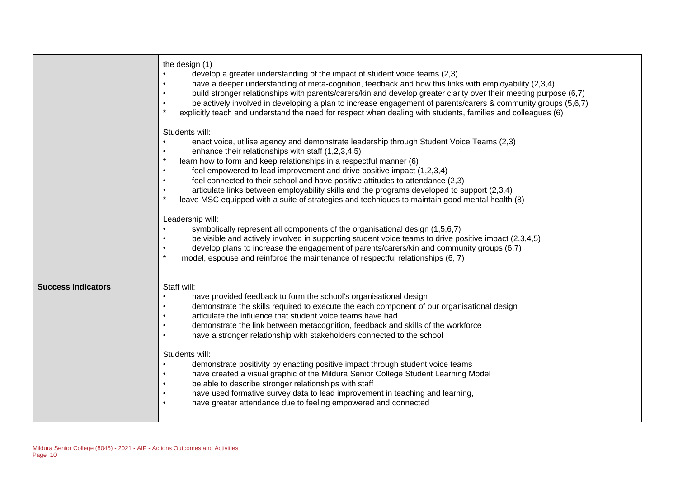|                           | the design (1)<br>develop a greater understanding of the impact of student voice teams (2,3)<br>have a deeper understanding of meta-cognition, feedback and how this links with employability (2,3,4)<br>build stronger relationships with parents/carers/kin and develop greater clarity over their meeting purpose (6,7)<br>be actively involved in developing a plan to increase engagement of parents/carers & community groups (5,6,7)<br>$\bullet$<br>$\star$<br>explicitly teach and understand the need for respect when dealing with students, families and colleagues (6)                                                                                                                                                                                                                                                                                                                                                                                                                                                                                                     |
|---------------------------|-----------------------------------------------------------------------------------------------------------------------------------------------------------------------------------------------------------------------------------------------------------------------------------------------------------------------------------------------------------------------------------------------------------------------------------------------------------------------------------------------------------------------------------------------------------------------------------------------------------------------------------------------------------------------------------------------------------------------------------------------------------------------------------------------------------------------------------------------------------------------------------------------------------------------------------------------------------------------------------------------------------------------------------------------------------------------------------------|
|                           | Students will:<br>enact voice, utilise agency and demonstrate leadership through Student Voice Teams (2,3)<br>enhance their relationships with staff (1,2,3,4,5)<br>$\star$<br>learn how to form and keep relationships in a respectful manner (6)<br>feel empowered to lead improvement and drive positive impact (1,2,3,4)<br>$\bullet$<br>feel connected to their school and have positive attitudes to attendance (2,3)<br>$\bullet$<br>articulate links between employability skills and the programs developed to support (2,3,4)<br>$\bullet$<br>$\star$<br>leave MSC equipped with a suite of strategies and techniques to maintain good mental health (8)<br>Leadership will:<br>symbolically represent all components of the organisational design (1,5,6,7)<br>be visible and actively involved in supporting student voice teams to drive positive impact (2,3,4,5)<br>develop plans to increase the engagement of parents/carers/kin and community groups (6,7)<br>$\bullet$<br>$\star$<br>model, espouse and reinforce the maintenance of respectful relationships (6, 7) |
| <b>Success Indicators</b> | Staff will:<br>have provided feedback to form the school's organisational design<br>$\bullet$<br>demonstrate the skills required to execute the each component of our organisational design<br>$\bullet$<br>articulate the influence that student voice teams have had<br>demonstrate the link between metacognition, feedback and skills of the workforce<br>have a stronger relationship with stakeholders connected to the school<br>٠<br>Students will:<br>demonstrate positivity by enacting positive impact through student voice teams<br>have created a visual graphic of the Mildura Senior College Student Learning Model<br>be able to describe stronger relationships with staff<br>have used formative survey data to lead improvement in teaching and learning,<br>have greater attendance due to feeling empowered and connected<br>$\bullet$                                                                                                                                                                                                                            |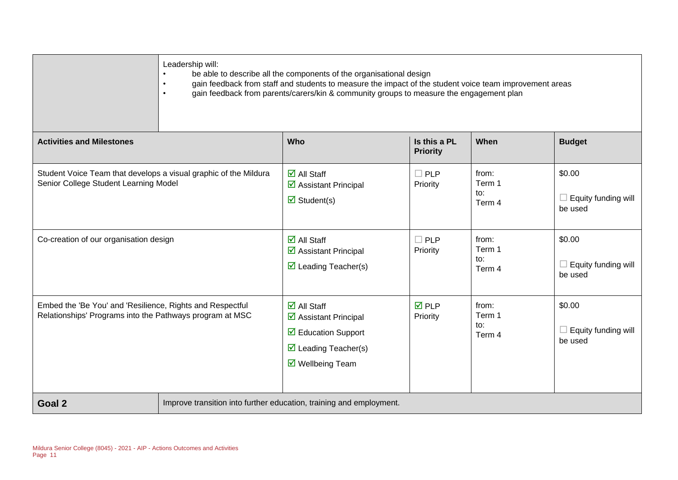|                                                                                                                       | Leadership will:<br>be able to describe all the components of the organisational design<br>gain feedback from staff and students to measure the impact of the student voice team improvement areas<br>$\bullet$<br>gain feedback from parents/carers/kin & community groups to measure the engagement plan<br>$\bullet$ |                                                                                                                                                          |                                 |                                  |                                                 |  |  |
|-----------------------------------------------------------------------------------------------------------------------|-------------------------------------------------------------------------------------------------------------------------------------------------------------------------------------------------------------------------------------------------------------------------------------------------------------------------|----------------------------------------------------------------------------------------------------------------------------------------------------------|---------------------------------|----------------------------------|-------------------------------------------------|--|--|
| <b>Activities and Milestones</b>                                                                                      |                                                                                                                                                                                                                                                                                                                         | Who                                                                                                                                                      | Is this a PL<br><b>Priority</b> | When                             | <b>Budget</b>                                   |  |  |
| Student Voice Team that develops a visual graphic of the Mildura<br>Senior College Student Learning Model             |                                                                                                                                                                                                                                                                                                                         | $\overline{\mathsf{M}}$ All Staff<br>☑ Assistant Principal<br>$\triangledown$ Student(s)                                                                 | $\Box$ PLP<br>Priority          | from:<br>Term 1<br>to:<br>Term 4 | \$0.00<br>$\Box$ Equity funding will<br>be used |  |  |
| Co-creation of our organisation design                                                                                |                                                                                                                                                                                                                                                                                                                         | $\overline{\mathsf{d}}$ All Staff<br>☑ Assistant Principal<br>$\triangleright$ Leading Teacher(s)                                                        | $\Box$ PLP<br>Priority          | from:<br>Term 1<br>to:<br>Term 4 | \$0.00<br>$\Box$ Equity funding will<br>be used |  |  |
| Embed the 'Be You' and 'Resilience, Rights and Respectful<br>Relationships' Programs into the Pathways program at MSC |                                                                                                                                                                                                                                                                                                                         | $\overline{\blacksquare}$ All Staff<br>☑ Assistant Principal<br>$\boxtimes$ Education Support<br>$\triangleright$ Leading Teacher(s)<br>☑ Wellbeing Team | $\overline{M}$ PLP<br>Priority  | from:<br>Term 1<br>to:<br>Term 4 | \$0.00<br>$\Box$ Equity funding will<br>be used |  |  |
| Goal 2                                                                                                                | Improve transition into further education, training and employment.                                                                                                                                                                                                                                                     |                                                                                                                                                          |                                 |                                  |                                                 |  |  |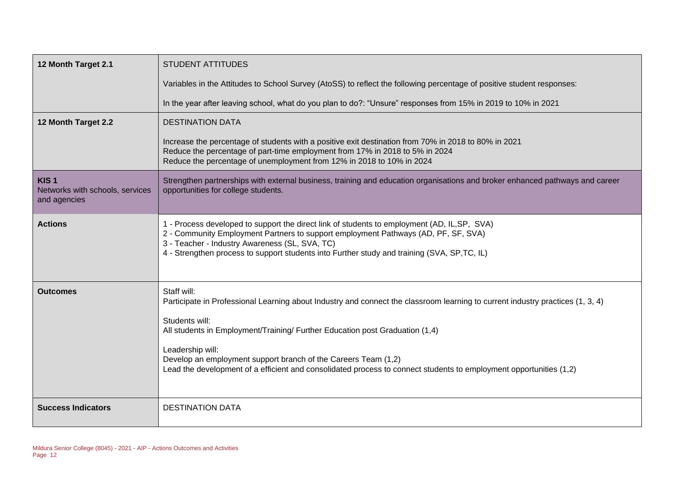| 12 Month Target 2.1                                                 | <b>STUDENT ATTITUDES</b>                                                                                                                                                                                                                                                                                                                                                                                                                                    |
|---------------------------------------------------------------------|-------------------------------------------------------------------------------------------------------------------------------------------------------------------------------------------------------------------------------------------------------------------------------------------------------------------------------------------------------------------------------------------------------------------------------------------------------------|
|                                                                     | Variables in the Attitudes to School Survey (AtoSS) to reflect the following percentage of positive student responses:                                                                                                                                                                                                                                                                                                                                      |
|                                                                     | In the year after leaving school, what do you plan to do?: "Unsure" responses from 15% in 2019 to 10% in 2021                                                                                                                                                                                                                                                                                                                                               |
| 12 Month Target 2.2                                                 | <b>DESTINATION DATA</b>                                                                                                                                                                                                                                                                                                                                                                                                                                     |
|                                                                     | Increase the percentage of students with a positive exit destination from 70% in 2018 to 80% in 2021<br>Reduce the percentage of part-time employment from 17% in 2018 to 5% in 2024<br>Reduce the percentage of unemployment from 12% in 2018 to 10% in 2024                                                                                                                                                                                               |
| KIS <sub>1</sub><br>Networks with schools, services<br>and agencies | Strengthen partnerships with external business, training and education organisations and broker enhanced pathways and career<br>opportunities for college students.                                                                                                                                                                                                                                                                                         |
| <b>Actions</b>                                                      | 1 - Process developed to support the direct link of students to employment (AD, IL, SP, SVA)<br>2 - Community Employment Partners to support employment Pathways (AD, PF, SF, SVA)<br>3 - Teacher - Industry Awareness (SL, SVA, TC)<br>4 - Strengthen process to support students into Further study and training (SVA, SP,TC, IL)                                                                                                                         |
| Outcomes                                                            | Staff will:<br>Participate in Professional Learning about Industry and connect the classroom learning to current industry practices (1, 3, 4)<br>Students will:<br>All students in Employment/Training/ Further Education post Graduation (1,4)<br>Leadership will:<br>Develop an employment support branch of the Careers Team (1,2)<br>Lead the development of a efficient and consolidated process to connect students to employment opportunities (1,2) |
| <b>Success Indicators</b>                                           | <b>DESTINATION DATA</b>                                                                                                                                                                                                                                                                                                                                                                                                                                     |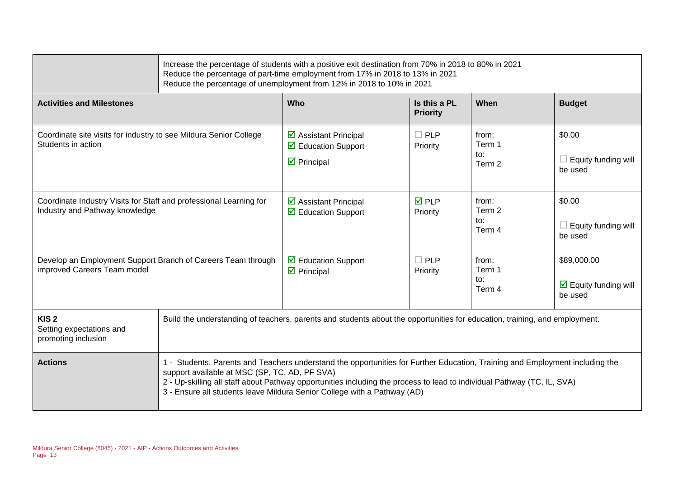|                                                                                                      |                                                                                                                                                                                                                                                                                                                                                                                      | Increase the percentage of students with a positive exit destination from 70% in 2018 to 80% in 2021<br>Reduce the percentage of part-time employment from 17% in 2018 to 13% in 2021<br>Reduce the percentage of unemployment from 12% in 2018 to 10% in 2021 |                                 |                                  |                                                         |
|------------------------------------------------------------------------------------------------------|--------------------------------------------------------------------------------------------------------------------------------------------------------------------------------------------------------------------------------------------------------------------------------------------------------------------------------------------------------------------------------------|----------------------------------------------------------------------------------------------------------------------------------------------------------------------------------------------------------------------------------------------------------------|---------------------------------|----------------------------------|---------------------------------------------------------|
| <b>Activities and Milestones</b>                                                                     |                                                                                                                                                                                                                                                                                                                                                                                      | Who                                                                                                                                                                                                                                                            | Is this a PL<br><b>Priority</b> | When                             | <b>Budget</b>                                           |
| Coordinate site visits for industry to see Mildura Senior College<br>Students in action              |                                                                                                                                                                                                                                                                                                                                                                                      | $\triangleright$ Assistant Principal<br>$\triangleright$ Education Support<br>$\triangleright$ Principal                                                                                                                                                       | $\Box$ PLP<br>Priority          | from:<br>Term 1<br>to:<br>Term 2 | \$0.00<br>$\Box$ Equity funding will<br>be used         |
| Coordinate Industry Visits for Staff and professional Learning for<br>Industry and Pathway knowledge |                                                                                                                                                                                                                                                                                                                                                                                      | $\triangleright$ Assistant Principal<br>$\overline{\mathbf{M}}$ Education Support                                                                                                                                                                              | $\overline{M}$ PLP<br>Priority  | from:<br>Term 2<br>to:<br>Term 4 | \$0.00<br>$\Box$ Equity funding will<br>be used         |
| Develop an Employment Support Branch of Careers Team through<br>improved Careers Team model          |                                                                                                                                                                                                                                                                                                                                                                                      | ☑ Education Support<br>$\triangleright$ Principal                                                                                                                                                                                                              | $\Box$ PLP<br>Priority          | from:<br>Term 1<br>to:<br>Term 4 | \$89,000.00<br>$\boxdot$ Equity funding will<br>be used |
| KIS <sub>2</sub><br>Setting expectations and<br>promoting inclusion                                  | Build the understanding of teachers, parents and students about the opportunities for education, training, and employment.                                                                                                                                                                                                                                                           |                                                                                                                                                                                                                                                                |                                 |                                  |                                                         |
| <b>Actions</b>                                                                                       | 1 - Students, Parents and Teachers understand the opportunities for Further Education, Training and Employment including the<br>support available at MSC (SP, TC, AD, PF SVA)<br>2 - Up-skilling all staff about Pathway opportunities including the process to lead to individual Pathway (TC, IL, SVA)<br>3 - Ensure all students leave Mildura Senior College with a Pathway (AD) |                                                                                                                                                                                                                                                                |                                 |                                  |                                                         |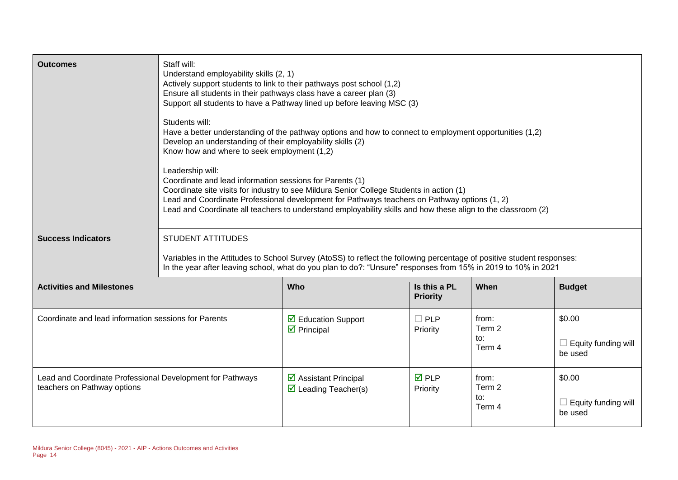| <b>Outcomes</b>                                                                          | Staff will:<br>Understand employability skills (2, 1)<br>Actively support students to link to their pathways post school (1,2)<br>Ensure all students in their pathways class have a career plan (3)<br>Support all students to have a Pathway lined up before leaving MSC (3)<br>Students will:<br>Have a better understanding of the pathway options and how to connect to employment opportunities (1,2)<br>Develop an understanding of their employability skills (2)<br>Know how and where to seek employment (1,2)<br>Leadership will:<br>Coordinate and lead information sessions for Parents (1)<br>Coordinate site visits for industry to see Mildura Senior College Students in action (1)<br>Lead and Coordinate Professional development for Pathways teachers on Pathway options (1, 2)<br>Lead and Coordinate all teachers to understand employability skills and how these align to the classroom (2) |                                                                             |                                 |                                  |                                                 |
|------------------------------------------------------------------------------------------|----------------------------------------------------------------------------------------------------------------------------------------------------------------------------------------------------------------------------------------------------------------------------------------------------------------------------------------------------------------------------------------------------------------------------------------------------------------------------------------------------------------------------------------------------------------------------------------------------------------------------------------------------------------------------------------------------------------------------------------------------------------------------------------------------------------------------------------------------------------------------------------------------------------------|-----------------------------------------------------------------------------|---------------------------------|----------------------------------|-------------------------------------------------|
| <b>Success Indicators</b>                                                                | <b>STUDENT ATTITUDES</b><br>Variables in the Attitudes to School Survey (AtoSS) to reflect the following percentage of positive student responses:<br>In the year after leaving school, what do you plan to do?: "Unsure" responses from 15% in 2019 to 10% in 2021                                                                                                                                                                                                                                                                                                                                                                                                                                                                                                                                                                                                                                                  |                                                                             |                                 |                                  |                                                 |
| <b>Activities and Milestones</b>                                                         |                                                                                                                                                                                                                                                                                                                                                                                                                                                                                                                                                                                                                                                                                                                                                                                                                                                                                                                      | Who                                                                         | Is this a PL<br><b>Priority</b> | When                             | <b>Budget</b>                                   |
| Coordinate and lead information sessions for Parents                                     |                                                                                                                                                                                                                                                                                                                                                                                                                                                                                                                                                                                                                                                                                                                                                                                                                                                                                                                      | $\triangleright$ Education Support<br>$\triangleright$ Principal            | $\Box$ PLP<br>Priority          | from:<br>Term 2<br>to:<br>Term 4 | \$0.00<br>$\Box$ Equity funding will<br>be used |
| Lead and Coordinate Professional Development for Pathways<br>teachers on Pathway options |                                                                                                                                                                                                                                                                                                                                                                                                                                                                                                                                                                                                                                                                                                                                                                                                                                                                                                                      | $\triangleright$ Assistant Principal<br>$\triangleright$ Leading Teacher(s) | $\overline{M}$ PLP<br>Priority  | from:<br>Term 2<br>to:<br>Term 4 | \$0.00<br>$\Box$ Equity funding will<br>be used |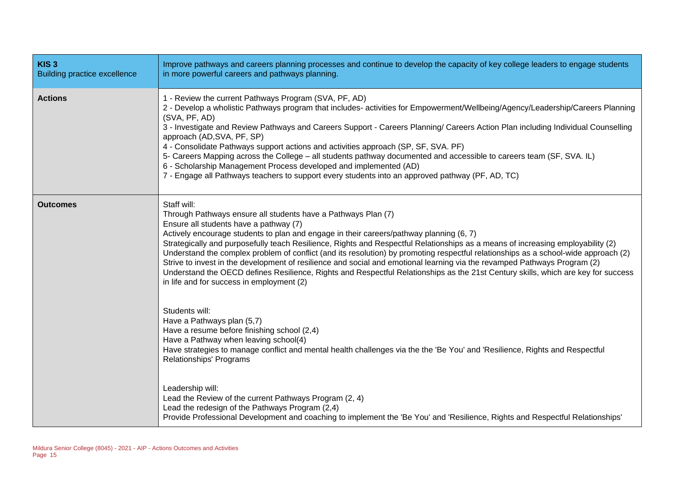| KIS <sub>3</sub><br><b>Building practice excellence</b> | Improve pathways and careers planning processes and continue to develop the capacity of key college leaders to engage students<br>in more powerful careers and pathways planning.                                                                                                                                                                                                                                                                                                                                                                                                                                                                                                                                                                                                                          |
|---------------------------------------------------------|------------------------------------------------------------------------------------------------------------------------------------------------------------------------------------------------------------------------------------------------------------------------------------------------------------------------------------------------------------------------------------------------------------------------------------------------------------------------------------------------------------------------------------------------------------------------------------------------------------------------------------------------------------------------------------------------------------------------------------------------------------------------------------------------------------|
| <b>Actions</b>                                          | 1 - Review the current Pathways Program (SVA, PF, AD)<br>2 - Develop a wholistic Pathways program that includes- activities for Empowerment/Wellbeing/Agency/Leadership/Careers Planning<br>(SVA, PF, AD)<br>3 - Investigate and Review Pathways and Careers Support - Careers Planning/ Careers Action Plan including Individual Counselling<br>approach (AD, SVA, PF, SP)<br>4 - Consolidate Pathways support actions and activities approach (SP, SF, SVA. PF)<br>5- Careers Mapping across the College - all students pathway documented and accessible to careers team (SF, SVA. IL)<br>6 - Scholarship Management Process developed and implemented (AD)<br>7 - Engage all Pathways teachers to support every students into an approved pathway (PF, AD, TC)                                         |
| <b>Outcomes</b>                                         | Staff will:<br>Through Pathways ensure all students have a Pathways Plan (7)<br>Ensure all students have a pathway (7)<br>Actively encourage students to plan and engage in their careers/pathway planning (6, 7)<br>Strategically and purposefully teach Resilience, Rights and Respectful Relationships as a means of increasing employability (2)<br>Understand the complex problem of conflict (and its resolution) by promoting respectful relationships as a school-wide approach (2)<br>Strive to invest in the development of resilience and social and emotional learning via the revamped Pathways Program (2)<br>Understand the OECD defines Resilience, Rights and Respectful Relationships as the 21st Century skills, which are key for success<br>in life and for success in employment (2) |
|                                                         | Students will:<br>Have a Pathways plan (5,7)<br>Have a resume before finishing school (2,4)<br>Have a Pathway when leaving school(4)<br>Have strategies to manage conflict and mental health challenges via the the 'Be You' and 'Resilience, Rights and Respectful<br><b>Relationships' Programs</b>                                                                                                                                                                                                                                                                                                                                                                                                                                                                                                      |
|                                                         | Leadership will:<br>Lead the Review of the current Pathways Program (2, 4)<br>Lead the redesign of the Pathways Program (2,4)<br>Provide Professional Development and coaching to implement the 'Be You' and 'Resilience, Rights and Respectful Relationships'                                                                                                                                                                                                                                                                                                                                                                                                                                                                                                                                             |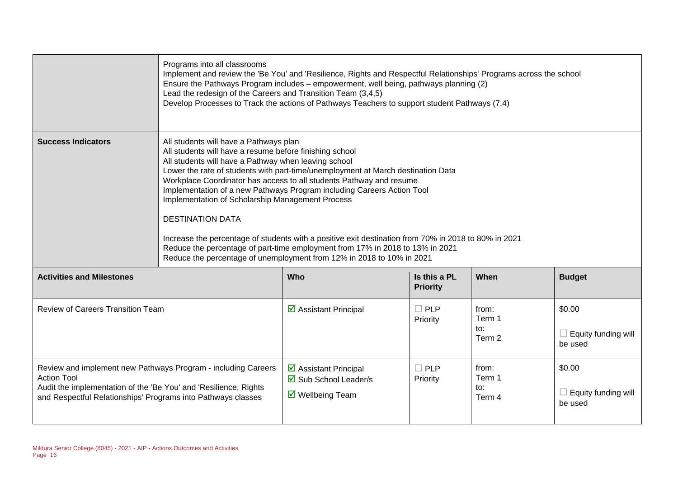|                                                                                                                                                                                                                         | Programs into all classrooms<br>Implement and review the 'Be You' and 'Resilience, Rights and Respectful Relationships' Programs across the school<br>Ensure the Pathways Program includes - empowerment, well being, pathways planning (2)<br>Lead the redesign of the Careers and Transition Team (3,4,5)<br>Develop Processes to Track the actions of Pathways Teachers to support student Pathways (7,4)                                                                                                                                                                                                                                                                                                                                    |                                                                                  |                                 |                                  |                                          |
|-------------------------------------------------------------------------------------------------------------------------------------------------------------------------------------------------------------------------|-------------------------------------------------------------------------------------------------------------------------------------------------------------------------------------------------------------------------------------------------------------------------------------------------------------------------------------------------------------------------------------------------------------------------------------------------------------------------------------------------------------------------------------------------------------------------------------------------------------------------------------------------------------------------------------------------------------------------------------------------|----------------------------------------------------------------------------------|---------------------------------|----------------------------------|------------------------------------------|
| <b>Success Indicators</b>                                                                                                                                                                                               | All students will have a Pathways plan<br>All students will have a resume before finishing school<br>All students will have a Pathway when leaving school<br>Lower the rate of students with part-time/unemployment at March destination Data<br>Workplace Coordinator has access to all students Pathway and resume<br>Implementation of a new Pathways Program including Careers Action Tool<br>Implementation of Scholarship Management Process<br><b>DESTINATION DATA</b><br>Increase the percentage of students with a positive exit destination from 70% in 2018 to 80% in 2021<br>Reduce the percentage of part-time employment from 17% in 2018 to 13% in 2021<br>Reduce the percentage of unemployment from 12% in 2018 to 10% in 2021 |                                                                                  |                                 |                                  |                                          |
| <b>Activities and Milestones</b>                                                                                                                                                                                        |                                                                                                                                                                                                                                                                                                                                                                                                                                                                                                                                                                                                                                                                                                                                                 | Who                                                                              | Is this a PL<br><b>Priority</b> | When                             | <b>Budget</b>                            |
| <b>Review of Careers Transition Team</b>                                                                                                                                                                                |                                                                                                                                                                                                                                                                                                                                                                                                                                                                                                                                                                                                                                                                                                                                                 | ☑ Assistant Principal                                                            | $\Box$ PLP<br>Priority          | from:<br>Term 1<br>to:<br>Term 2 | \$0.00<br>Equity funding will<br>be used |
| Review and implement new Pathways Program - including Careers<br><b>Action Tool</b><br>Audit the implementation of the 'Be You' and 'Resilience, Rights<br>and Respectful Relationships' Programs into Pathways classes |                                                                                                                                                                                                                                                                                                                                                                                                                                                                                                                                                                                                                                                                                                                                                 | ☑ Assistant Principal<br>☑ Sub School Leader/s<br>$\triangledown$ Wellbeing Team | $\Box$ PLP<br>Priority          | from:<br>Term 1<br>to:<br>Term 4 | \$0.00<br>Equity funding will<br>be used |